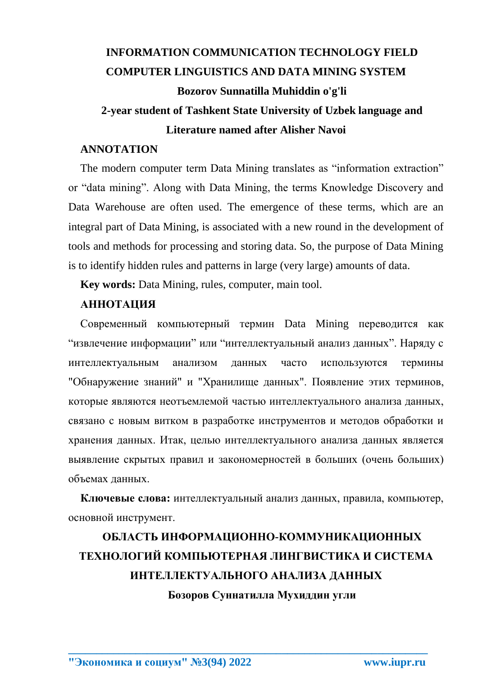## **INFORMATION COMMUNICATION TECHNOLOGY FIELD COMPUTER LINGUISTICS AND DATA MINING SYSTEM** Bozorov Sunnatilla Muhiddin o'g'li

### 2-year student of Tashkent State University of Uzbek language and **Literature named after Alisher Navoi**

### **ANNOTATION**

The modern computer term Data Mining translates as "information extraction" or "data mining". Along with Data Mining, the terms Knowledge Discovery and Data Warehouse are often used. The emergence of these terms, which are an integral part of Data Mining, is associated with a new round in the development of tools and methods for processing and storing data. So, the purpose of Data Mining is to identify hidden rules and patterns in large (very large) amounts of data.

**Key words:** Data Mining, rules, computer, main tool.

### **АННОТАЦИЯ**

Современный компьютерный термин Data Mining переводится как "извлечение информации" или "интеллектуальный анализ данных". Наряду с интеллектуальным анализом ланных часто используются термины "Обнаружение знаний" и "Хранилище данных". Появление этих терминов, которые являются неотъемлемой частью интеллектуального анализа данных, связано с новым витком в разработке инструментов и методов обработки и хранения данных. Итак, целью интеллектуального анализа данных является выявление скрытых правил и закономерностей в больших (очень больших) объемах данных.

Ключевые слова: интеллектуальный анализ данных, правила, компьютер, основной инструмент.

# ОБЛАСТЬ ИНФОРМАЦИОННО-КОММУНИКАЦИОННЫХ ТЕХНОЛОГИЙ КОМПЬЮТЕРНАЯ ЛИНГВИСТИКА И СИСТЕМА ИНТЕЛЛЕКТУАЛЬНОГО АНАЛИЗА ДАННЫХ

Бозоров Суннатилла Мухиддин угли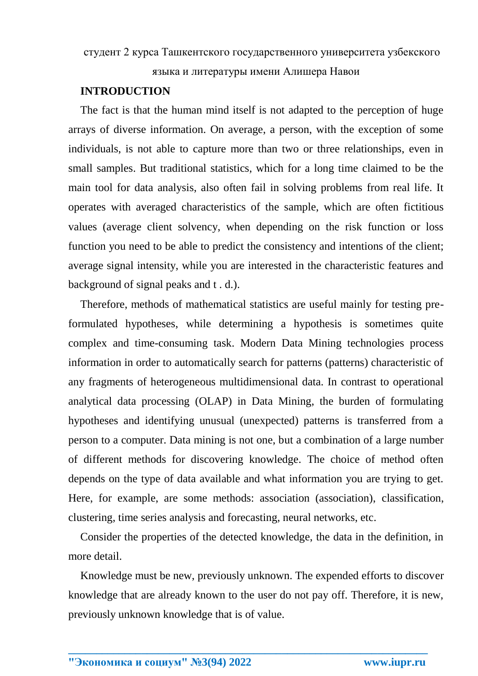### студент 2 курса Ташкентского государственного университета узбекского

языка и литературы имени Алишера Навои

#### **INTRODUCTION**

The fact is that the human mind itself is not adapted to the perception of huge arrays of diverse information. On average, a person, with the exception of some individuals, is not able to capture more than two or three relationships, even in small samples. But traditional statistics, which for a long time claimed to be the main tool for data analysis, also often fail in solving problems from real life. It operates with averaged characteristics of the sample, which are often fictitious values (average client solvency, when depending on the risk function or loss function you need to be able to predict the consistency and intentions of the client; average signal intensity, while you are interested in the characteristic features and background of signal peaks and t . d.).

Therefore, methods of mathematical statistics are useful mainly for testing preformulated hypotheses, while determining a hypothesis is sometimes quite complex and time-consuming task. Modern Data Mining technologies process information in order to automatically search for patterns (patterns) characteristic of any fragments of heterogeneous multidimensional data. In contrast to operational analytical data processing (OLAP) in Data Mining, the burden of formulating hypotheses and identifying unusual (unexpected) patterns is transferred from a person to a computer. Data mining is not one, but a combination of a large number of different methods for discovering knowledge. The choice of method often depends on the type of data available and what information you are trying to get. Here, for example, are some methods: association (association), classification, clustering, time series analysis and forecasting, neural networks, etc.

Consider the properties of the detected knowledge, the data in the definition, in more detail.

Knowledge must be new, previously unknown. The expended efforts to discover knowledge that are already known to the user do not pay off. Therefore, it is new, previously unknown knowledge that is of value.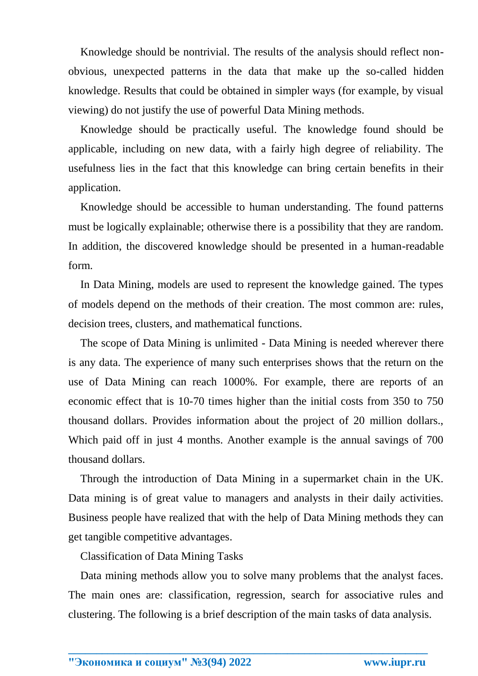Knowledge should be nontrivial. The results of the analysis should reflect nonobvious, unexpected patterns in the data that make up the so-called hidden knowledge. Results that could be obtained in simpler ways (for example, by visual viewing) do not justify the use of powerful Data Mining methods.

Knowledge should be practically useful. The knowledge found should be applicable, including on new data, with a fairly high degree of reliability. The usefulness lies in the fact that this knowledge can bring certain benefits in their application.

Knowledge should be accessible to human understanding. The found patterns must be logically explainable; otherwise there is a possibility that they are random. In addition, the discovered knowledge should be presented in a human-readable form.

In Data Mining, models are used to represent the knowledge gained. The types of models depend on the methods of their creation. The most common are: rules, decision trees, clusters, and mathematical functions.

The scope of Data Mining is unlimited - Data Mining is needed wherever there is any data. The experience of many such enterprises shows that the return on the use of Data Mining can reach 1000%. For example, there are reports of an economic effect that is 10-70 times higher than the initial costs from 350 to 750 thousand dollars. Provides information about the project of 20 million dollars., Which paid off in just 4 months. Another example is the annual savings of 700 thousand dollars.

Through the introduction of Data Mining in a supermarket chain in the UK. Data mining is of great value to managers and analysts in their daily activities. Business people have realized that with the help of Data Mining methods they can get tangible competitive advantages.

Classification of Data Mining Tasks

Data mining methods allow you to solve many problems that the analyst faces. The main ones are: classification, regression, search for associative rules and clustering. The following is a brief description of the main tasks of data analysis.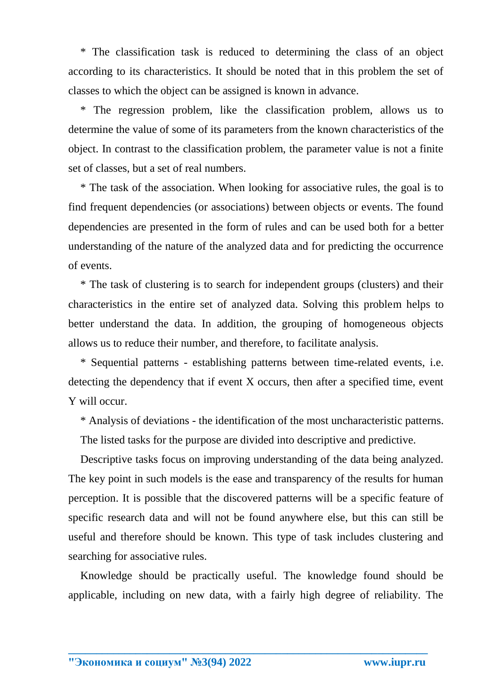\* The classification task is reduced to determining the class of an object according to its characteristics. It should be noted that in this problem the set of classes to which the object can be assigned is known in advance.

\* The regression problem, like the classification problem, allows us to determine the value of some of its parameters from the known characteristics of the object. In contrast to the classification problem, the parameter value is not a finite set of classes, but a set of real numbers.

\* The task of the association. When looking for associative rules, the goal is to find frequent dependencies (or associations) between objects or events. The found dependencies are presented in the form of rules and can be used both for a better understanding of the nature of the analyzed data and for predicting the occurrence of events.

\* The task of clustering is to search for independent groups (clusters) and their characteristics in the entire set of analyzed data. Solving this problem helps to better understand the data. In addition, the grouping of homogeneous objects allows us to reduce their number, and therefore, to facilitate analysis.

\* Sequential patterns - establishing patterns between time-related events, i.e. detecting the dependency that if event X occurs, then after a specified time, event Y will occur.

\* Analysis of deviations - the identification of the most uncharacteristic patterns.

The listed tasks for the purpose are divided into descriptive and predictive.

Descriptive tasks focus on improving understanding of the data being analyzed. The key point in such models is the ease and transparency of the results for human perception. It is possible that the discovered patterns will be a specific feature of specific research data and will not be found anywhere else, but this can still be useful and therefore should be known. This type of task includes clustering and searching for associative rules.

Knowledge should be practically useful. The knowledge found should be applicable, including on new data, with a fairly high degree of reliability. The